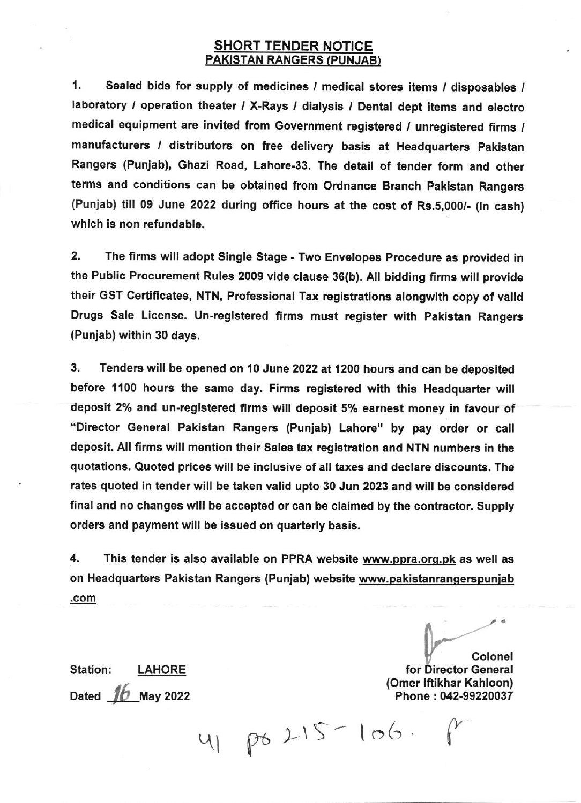## SHORT TENDER NOTICE PAKISTAN RANGERS (PUNJAB)

1. Sealed bids for supply of medicines / medical stores items / disposables / laboratory / operation theater / X-Rays / dialysis / Dental dept items and electro medical equipment are invited from Government registered / unregistered firms / manufacturers / distributors on free delivery basis at Headquarters Pakistan Rangers (Punjab), Ghazi Road, Lahore-33. The detail of tender form and other terms and conditions can be obtained from Ordnance Branch Pakistan Rangers (Punjab) till 09 June 2022 during office hours at the cost of Rs.5,000/- (In cash) which is non refundable.

2. The firms will adopt Single Stage - Two Envelopes Procedure as provided in the Public Procurement Rules 2009 vide clause 36(b). All bidding firms will provide their GST Certificates, NTN, Professional Tax registrations alongwith copy of valid Drugs Sale License. Un-registered firms must register with Pakistan Rangers (Punjab) within 30 days.

3. Tenders will be opened on 10 June 2022 at 1200 hours and can be deposited before 1100 hours the same day. Firms registered with this Headquarter will deposit 2% and un-registered firms will deposit 5% earnest money in favour of "Director General Pakistan Rangers (Punjab) Lahore" by pay order or call deposit. All firms will mention their Sales tax registration and NTN numbers in the quotations. Quoted prices wlll be inclusive of all taxes and declare discounts. The rates quoted in tender will be taken valid upto 30 Jun 2023 and will be considered final and no changes wlll be accepted or can be clalmed by the contractor. Supply orders and payment will be lssued on quarterly basis.

4. This tender is also available on PPRA website www.ppra.org.pk as well as on Headquarters Pakistan Rangers (Punjab) website www.pakistanrangerspunjab .GOm

Colonel for Director General (Omer lftikhar Kahloon) Phone : 042-99220037

Station: LAHORE Dated  $16$  May 2022

41 po 215 - 106. p